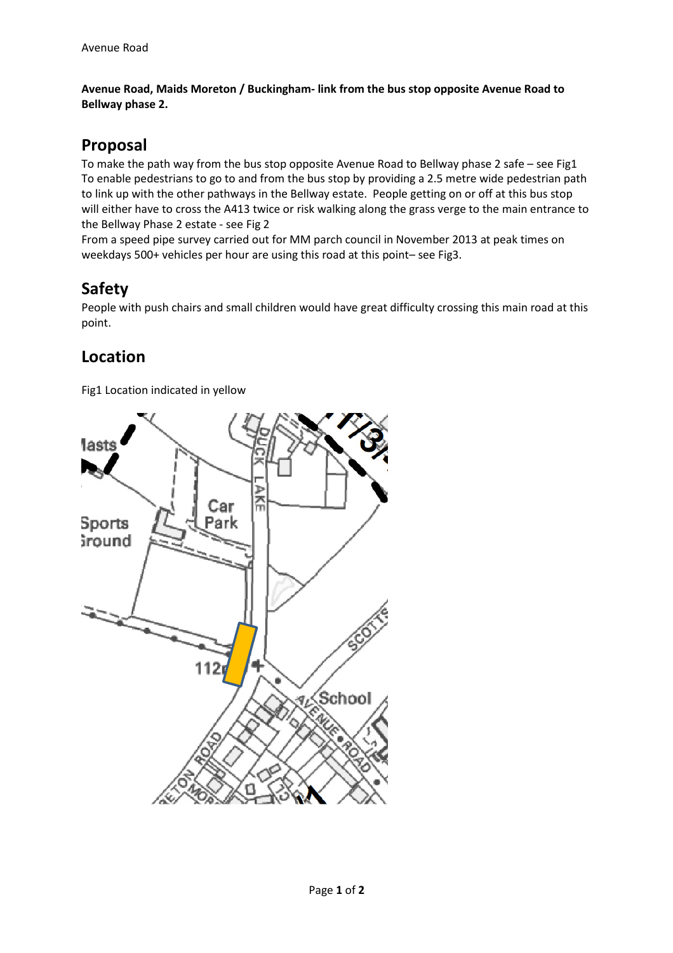**Avenue Road, Maids Moreton / Buckingham- link from the bus stop opposite Avenue Road to Bellway phase 2.** 

## **Proposal**

To make the path way from the bus stop opposite Avenue Road to Bellway phase 2 safe – see Fig1 To enable pedestrians to go to and from the bus stop by providing a 2.5 metre wide pedestrian path to link up with the other pathways in the Bellway estate. People getting on or off at this bus stop will either have to cross the A413 twice or risk walking along the grass verge to the main entrance to the Bellway Phase 2 estate - see Fig 2

From a speed pipe survey carried out for MM parch council in November 2013 at peak times on weekdays 500+ vehicles per hour are using this road at this point– see Fig3.

## **Safety**

People with push chairs and small children would have great difficulty crossing this main road at this point.

## **Location**

Fig1 Location indicated in yellow